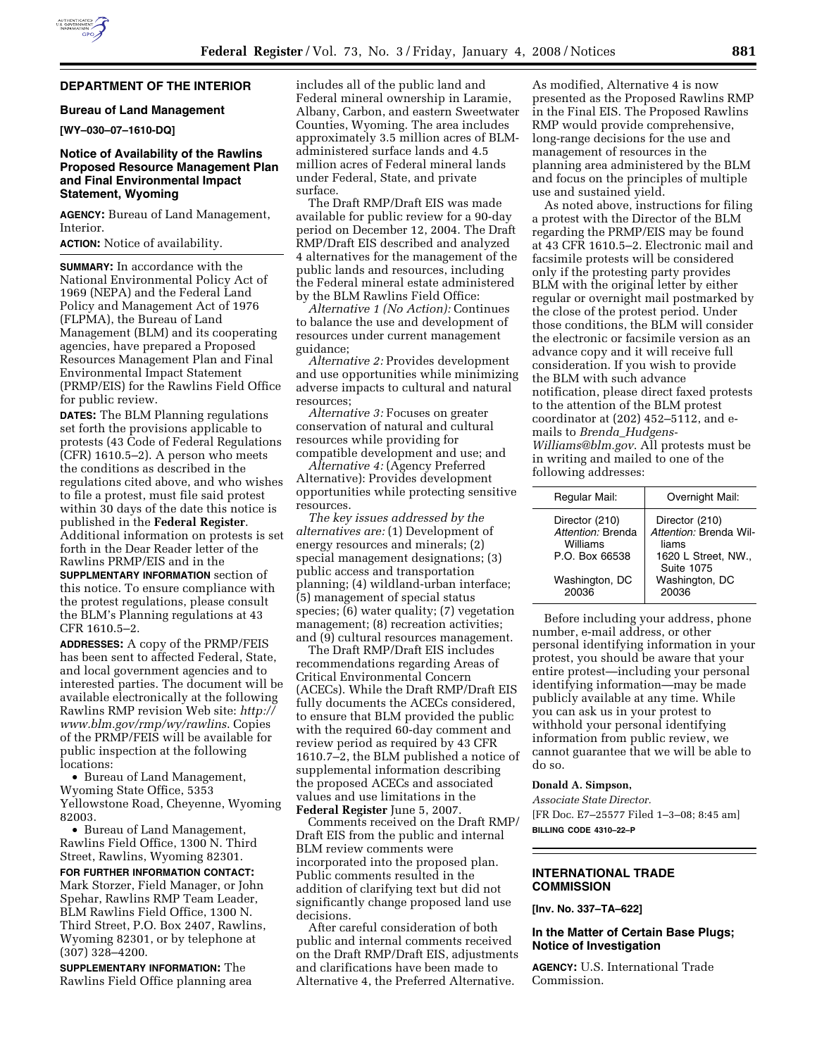## **DEPARTMENT OF THE INTERIOR**

## **Bureau of Land Management**

**[WY–030–07–1610-DQ]** 

### **Notice of Availability of the Rawlins Proposed Resource Management Plan and Final Environmental Impact Statement, Wyoming**

**AGENCY:** Bureau of Land Management, Interior.

**ACTION:** Notice of availability.

**SUMMARY:** In accordance with the National Environmental Policy Act of 1969 (NEPA) and the Federal Land Policy and Management Act of 1976 (FLPMA), the Bureau of Land Management (BLM) and its cooperating agencies, have prepared a Proposed Resources Management Plan and Final Environmental Impact Statement (PRMP/EIS) for the Rawlins Field Office for public review.

**DATES:** The BLM Planning regulations set forth the provisions applicable to protests (43 Code of Federal Regulations (CFR) 1610.5–2). A person who meets the conditions as described in the regulations cited above, and who wishes to file a protest, must file said protest within 30 days of the date this notice is published in the **Federal Register**. Additional information on protests is set forth in the Dear Reader letter of the Rawlins PRMP/EIS and in the

**SUPPLMENTARY INFORMATION** section of this notice. To ensure compliance with the protest regulations, please consult the BLM's Planning regulations at 43 CFR 1610.5–2.

**ADDRESSES:** A copy of the PRMP/FEIS has been sent to affected Federal, State, and local government agencies and to interested parties. The document will be available electronically at the following Rawlins RMP revision Web site: *http:// www.blm.gov/rmp/wy/rawlins*. Copies of the PRMP/FEIS will be available for public inspection at the following locations:

• Bureau of Land Management, Wyoming State Office, 5353 Yellowstone Road, Cheyenne, Wyoming 82003.

• Bureau of Land Management, Rawlins Field Office, 1300 N. Third Street, Rawlins, Wyoming 82301.

**FOR FURTHER INFORMATION CONTACT:**  Mark Storzer, Field Manager, or John Spehar, Rawlins RMP Team Leader, BLM Rawlins Field Office, 1300 N. Third Street, P.O. Box 2407, Rawlins, Wyoming 82301, or by telephone at (307) 328–4200.

**SUPPLEMENTARY INFORMATION:** The Rawlins Field Office planning area includes all of the public land and Federal mineral ownership in Laramie, Albany, Carbon, and eastern Sweetwater Counties, Wyoming. The area includes approximately 3.5 million acres of BLMadministered surface lands and 4.5 million acres of Federal mineral lands under Federal, State, and private surface.

The Draft RMP/Draft EIS was made available for public review for a 90-day period on December 12, 2004. The Draft RMP/Draft EIS described and analyzed 4 alternatives for the management of the public lands and resources, including the Federal mineral estate administered by the BLM Rawlins Field Office:

*Alternative 1 (No Action):* Continues to balance the use and development of resources under current management guidance;

*Alternative 2:* Provides development and use opportunities while minimizing adverse impacts to cultural and natural resources;

*Alternative 3:* Focuses on greater conservation of natural and cultural resources while providing for compatible development and use; and

*Alternative 4:* (Agency Preferred Alternative): Provides development opportunities while protecting sensitive resources.

*The key issues addressed by the alternatives are:* (1) Development of energy resources and minerals; (2) special management designations; (3) public access and transportation planning; (4) wildland-urban interface; (5) management of special status species; (6) water quality; (7) vegetation management; (8) recreation activities; and (9) cultural resources management.

The Draft RMP/Draft EIS includes recommendations regarding Areas of Critical Environmental Concern (ACECs). While the Draft RMP/Draft EIS fully documents the ACECs considered, to ensure that BLM provided the public with the required 60-day comment and review period as required by 43 CFR 1610.7–2, the BLM published a notice of supplemental information describing the proposed ACECs and associated values and use limitations in the **Federal Register** June 5, 2007.

Comments received on the Draft RMP/ Draft EIS from the public and internal BLM review comments were incorporated into the proposed plan. Public comments resulted in the addition of clarifying text but did not significantly change proposed land use decisions.

After careful consideration of both public and internal comments received on the Draft RMP/Draft EIS, adjustments and clarifications have been made to Alternative 4, the Preferred Alternative.

As modified, Alternative 4 is now presented as the Proposed Rawlins RMP in the Final EIS. The Proposed Rawlins RMP would provide comprehensive, long-range decisions for the use and management of resources in the planning area administered by the BLM and focus on the principles of multiple use and sustained yield.

As noted above, instructions for filing a protest with the Director of the BLM regarding the PRMP/EIS may be found at 43 CFR 1610.5–2. Electronic mail and facsimile protests will be considered only if the protesting party provides BLM with the original letter by either regular or overnight mail postmarked by the close of the protest period. Under those conditions, the BLM will consider the electronic or facsimile version as an advance copy and it will receive full consideration. If you wish to provide the BLM with such advance notification, please direct faxed protests to the attention of the BLM protest coordinator at (202) 452–5112, and emails to *Brenda*\_*Hudgens-Williams@blm.gov*. All protests must be in writing and mailed to one of the following addresses:

| Regular Mail:                                   | Overnight Mail:                                   |
|-------------------------------------------------|---------------------------------------------------|
| Director (210)<br>Attention: Brenda<br>Williams | Director (210)<br>Attention: Brenda Wil-<br>liams |
| P.O. Box 66538                                  | 1620 L Street, NW.,<br><b>Suite 1075</b>          |
| Washington, DC<br>20036                         | Washington, DC<br>20036                           |
|                                                 |                                                   |

Before including your address, phone number, e-mail address, or other personal identifying information in your protest, you should be aware that your entire protest—including your personal identifying information—may be made publicly available at any time. While you can ask us in your protest to withhold your personal identifying information from public review, we cannot guarantee that we will be able to do so.

### **Donald A. Simpson,**

*Associate State Director.*  [FR Doc. E7–25577 Filed 1–3–08; 8:45 am] **BILLING CODE 4310–22–P** 

# **INTERNATIONAL TRADE COMMISSION**

**[Inv. No. 337–TA–622]** 

## **In the Matter of Certain Base Plugs; Notice of Investigation**

**AGENCY:** U.S. International Trade Commission.